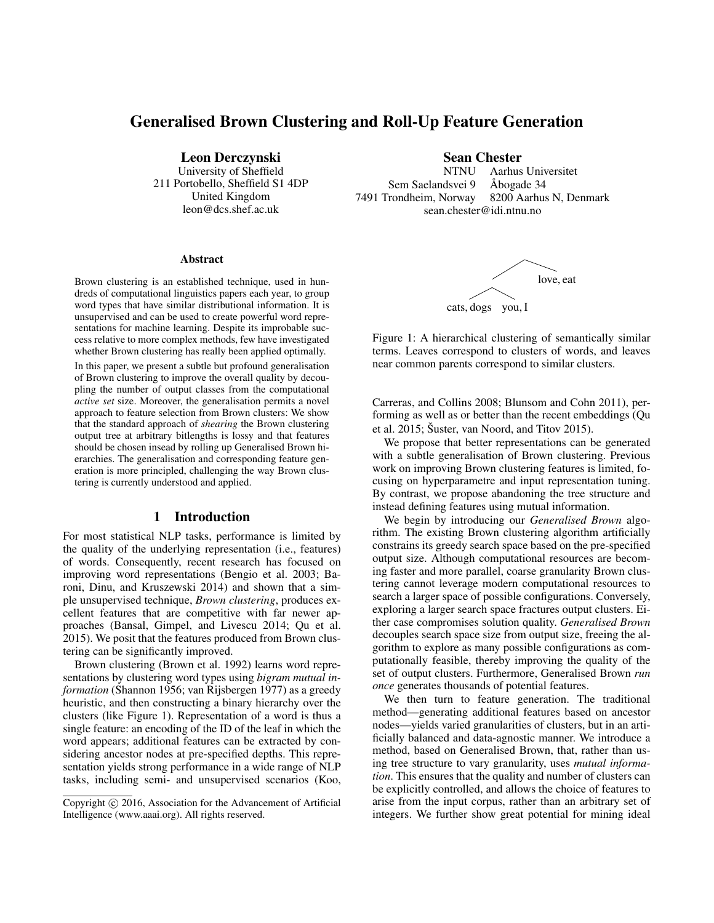# Generalised Brown Clustering and Roll-Up Feature Generation

Leon Derczynski University of Sheffield 211 Portobello, Sheffield S1 4DP United Kingdom leon@dcs.shef.ac.uk

#### Abstract

Brown clustering is an established technique, used in hundreds of computational linguistics papers each year, to group word types that have similar distributional information. It is unsupervised and can be used to create powerful word representations for machine learning. Despite its improbable success relative to more complex methods, few have investigated whether Brown clustering has really been applied optimally.

In this paper, we present a subtle but profound generalisation of Brown clustering to improve the overall quality by decoupling the number of output classes from the computational *active set* size. Moreover, the generalisation permits a novel approach to feature selection from Brown clusters: We show that the standard approach of *shearing* the Brown clustering output tree at arbitrary bitlengths is lossy and that features should be chosen insead by rolling up Generalised Brown hierarchies. The generalisation and corresponding feature generation is more principled, challenging the way Brown clustering is currently understood and applied.

## 1 Introduction

For most statistical NLP tasks, performance is limited by the quality of the underlying representation (i.e., features) of words. Consequently, recent research has focused on improving word representations (Bengio et al. 2003; Baroni, Dinu, and Kruszewski 2014) and shown that a simple unsupervised technique, *Brown clustering*, produces excellent features that are competitive with far newer approaches (Bansal, Gimpel, and Livescu 2014; Qu et al. 2015). We posit that the features produced from Brown clustering can be significantly improved.

Brown clustering (Brown et al. 1992) learns word representations by clustering word types using *bigram mutual information* (Shannon 1956; van Rijsbergen 1977) as a greedy heuristic, and then constructing a binary hierarchy over the clusters (like Figure 1). Representation of a word is thus a single feature: an encoding of the ID of the leaf in which the word appears; additional features can be extracted by considering ancestor nodes at pre-specified depths. This representation yields strong performance in a wide range of NLP tasks, including semi- and unsupervised scenarios (Koo, **Sean Chester**<br>NTNU Aarhus

Aarhus Universitet Sem Saelandsvei 9 Åbogade 34<br>7491 Trondheim, Norway 8200 Aarhus 8200 Aarhus N, Denmark sean.chester@idi.ntnu.no



Figure 1: A hierarchical clustering of semantically similar terms. Leaves correspond to clusters of words, and leaves near common parents correspond to similar clusters.

Carreras, and Collins 2008; Blunsom and Cohn 2011), performing as well as or better than the recent embeddings (Qu et al. 2015; Šuster, van Noord, and Titov 2015).

We propose that better representations can be generated with a subtle generalisation of Brown clustering. Previous work on improving Brown clustering features is limited, focusing on hyperparametre and input representation tuning. By contrast, we propose abandoning the tree structure and instead defining features using mutual information.

We begin by introducing our *Generalised Brown* algorithm. The existing Brown clustering algorithm artificially constrains its greedy search space based on the pre-specified output size. Although computational resources are becoming faster and more parallel, coarse granularity Brown clustering cannot leverage modern computational resources to search a larger space of possible configurations. Conversely, exploring a larger search space fractures output clusters. Either case compromises solution quality. *Generalised Brown* decouples search space size from output size, freeing the algorithm to explore as many possible configurations as computationally feasible, thereby improving the quality of the set of output clusters. Furthermore, Generalised Brown *run once* generates thousands of potential features.

We then turn to feature generation. The traditional method—generating additional features based on ancestor nodes—yields varied granularities of clusters, but in an artificially balanced and data-agnostic manner. We introduce a method, based on Generalised Brown, that, rather than using tree structure to vary granularity, uses *mutual information*. This ensures that the quality and number of clusters can be explicitly controlled, and allows the choice of features to arise from the input corpus, rather than an arbitrary set of integers. We further show great potential for mining ideal

Copyright (c) 2016, Association for the Advancement of Artificial Intelligence (www.aaai.org). All rights reserved.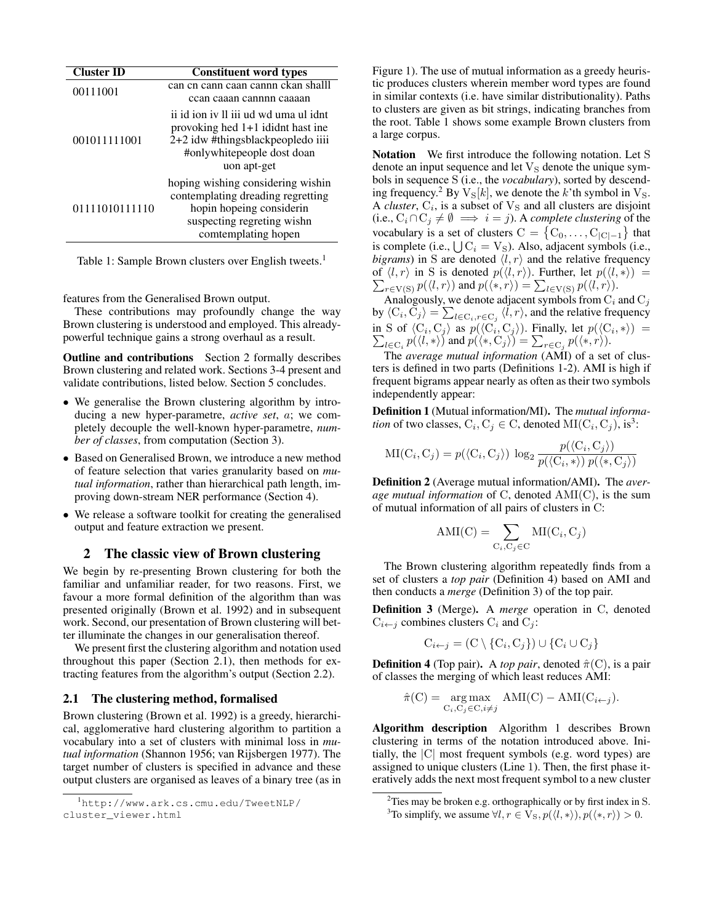| <b>Cluster ID</b> | <b>Constituent word types</b>                                                                                                                                                                                                   |  |  |
|-------------------|---------------------------------------------------------------------------------------------------------------------------------------------------------------------------------------------------------------------------------|--|--|
| 00111001          | can cn cann caan cannn ckan shalll<br>ccan caaan cannnn caaaan<br>ii id ion iv Il iii ud wd uma ul idnt<br>provoking hed 1+1 ididnt hast ine<br>2+2 idw #thingsblackpeopledo iiii<br>#onlywhite people dost doan<br>uon apt-get |  |  |
| 001011111001      |                                                                                                                                                                                                                                 |  |  |
| 01111010111110    | hoping wishing considering wishin<br>contemplating dreading regretting<br>hopin hopeing considerin<br>suspecting regreting wishn<br>comtemplating hopen                                                                         |  |  |

Table 1: Sample Brown clusters over English tweets.<sup>1</sup>

features from the Generalised Brown output.

These contributions may profoundly change the way Brown clustering is understood and employed. This alreadypowerful technique gains a strong overhaul as a result.

Outline and contributions Section 2 formally describes Brown clustering and related work. Sections 3-4 present and validate contributions, listed below. Section 5 concludes.

- We generalise the Brown clustering algorithm by introducing a new hyper-parametre, *active set*, a; we completely decouple the well-known hyper-parametre, *number of classes*, from computation (Section 3).
- Based on Generalised Brown, we introduce a new method of feature selection that varies granularity based on *mutual information*, rather than hierarchical path length, improving down-stream NER performance (Section 4).
- We release a software toolkit for creating the generalised output and feature extraction we present.

# 2 The classic view of Brown clustering

We begin by re-presenting Brown clustering for both the familiar and unfamiliar reader, for two reasons. First, we favour a more formal definition of the algorithm than was presented originally (Brown et al. 1992) and in subsequent work. Second, our presentation of Brown clustering will better illuminate the changes in our generalisation thereof.

We present first the clustering algorithm and notation used throughout this paper (Section 2.1), then methods for extracting features from the algorithm's output (Section 2.2).

#### 2.1 The clustering method, formalised

Brown clustering (Brown et al. 1992) is a greedy, hierarchical, agglomerative hard clustering algorithm to partition a vocabulary into a set of clusters with minimal loss in *mutual information* (Shannon 1956; van Rijsbergen 1977). The target number of clusters is specified in advance and these output clusters are organised as leaves of a binary tree (as in Figure 1). The use of mutual information as a greedy heuristic produces clusters wherein member word types are found in similar contexts (i.e. have similar distributionality). Paths to clusters are given as bit strings, indicating branches from the root. Table 1 shows some example Brown clusters from a large corpus.

Notation We first introduce the following notation. Let S denote an input sequence and let  $V<sub>S</sub>$  denote the unique symbols in sequence S (i.e., the *vocabulary*), sorted by descending frequency.<sup>2</sup> By  $V_s[k]$ , we denote the k'th symbol in  $V_s$ . A *cluster*,  $C_i$ , is a subset of  $V_S$  and all clusters are disjoint (i.e.,  $C_i ∩ C_j ≠ ∅ ⇒ i = j$ ). A *complete clustering* of the vocabulary is a set of clusters  $C = \{C_0, \ldots, C_{|C|-1}\}\$  that is complete (i.e.,  $\bigcup C_i = V_S$ ). Also, adjacent symbols (i.e., *bigrams*) in S are denoted  $\langle l, r \rangle$  and the relative frequency  $\sum_{r \in V(S)} p(\langle l, r \rangle)$  and  $p(\langle *, r \rangle) = \sum_{l \in V(S)} p(\langle l, r \rangle)$ . of  $\langle l, r \rangle$  in S is denoted  $p(\langle l, r \rangle)$ . Further, let  $p(\langle l, * \rangle)$  =

Analogously, we denote adjacent symbols from  $C_i$  and  $C_j$ by  $\langle C_i, C_j \rangle = \sum_{l \in C_i, r \in C_j} \langle l, r \rangle$ , and the relative frequency in S of  $\langle C_i, C_j \rangle$  as  $p(\langle C_i, C_j \rangle)$ . Finally, let  $p(\langle C_i, \ast \rangle) = \sum_{l \in C_i} p(\langle l, \ast \rangle)$  and  $p(\langle \ast, C_j \rangle) = \sum_{r \in C_j} p(\langle \ast, r \rangle)$ .

The *average mutual information* (AMI) of a set of clusters is defined in two parts (Definitions 1-2). AMI is high if frequent bigrams appear nearly as often as their two symbols independently appear:

Definition 1 (Mutual information/MI). The *mutual information* of two classes,  $C_i$ ,  $C_j \in C$ , denoted  $MI(C_i, C_j)$ , is<sup>3</sup>:

$$
\mathrm{MI}(\mathrm{C}_i, \mathrm{C}_j) = p(\langle \mathrm{C}_i, \mathrm{C}_j \rangle) \, \log_2 \frac{p(\langle \mathrm{C}_i, \mathrm{C}_j \rangle)}{p(\langle \mathrm{C}_i, \ast \rangle) \, p(\langle \ast, \mathrm{C}_j \rangle)}
$$

Definition 2 (Average mutual information/AMI). The *average mutual information* of C, denoted AMI(C), is the sum of mutual information of all pairs of clusters in C:

$$
AMI(C) = \sum_{C_i, C_j \in C} MI(C_i, C_j)
$$

The Brown clustering algorithm repeatedly finds from a set of clusters a *top pair* (Definition 4) based on AMI and then conducts a *merge* (Definition 3) of the top pair.

Definition 3 (Merge). A *merge* operation in C, denoted  $C_{i \leftarrow j}$  combines clusters  $C_i$  and  $C_j$ :

$$
C_{i \leftarrow j} = (C \setminus \{C_i, C_j\}) \cup \{C_i \cup C_j\}
$$

**Definition 4** (Top pair). A *top pair*, denoted  $\hat{\pi}(C)$ , is a pair of classes the merging of which least reduces AMI:

$$
\hat{\pi}(C) = \underset{C_i, C_j \in C, i \neq j}{\arg \max} \quad \text{AMI}(C) - \text{AMI}(C_{i \leftarrow j}).
$$

Algorithm description Algorithm 1 describes Brown clustering in terms of the notation introduced above. Initially, the |C| most frequent symbols (e.g. word types) are assigned to unique clusters (Line 1). Then, the first phase iteratively adds the next most frequent symbol to a new cluster

<sup>1</sup>http://www.ark.cs.cmu.edu/TweetNLP/ cluster\_viewer.html

<sup>&</sup>lt;sup>2</sup>Ties may be broken e.g. orthographically or by first index in S. <sup>3</sup>To simplify, we assume  $\forall l, r \in V_s, p(\langle l, * \rangle), p(\langle *, r \rangle) > 0.$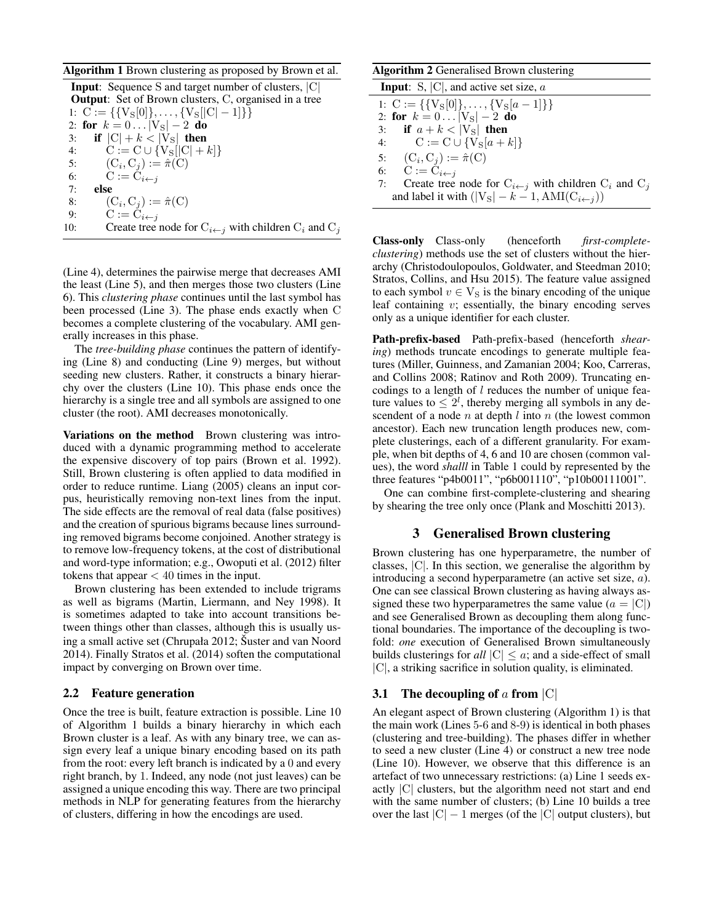#### Algorithm 1 Brown clustering as proposed by Brown et al.

Input: Sequence S and target number of clusters, |C| **Output:** Set of Brown clusters, C, organised in a tree 1:  $C := \{\{V_S[0]\}, \ldots, \{V_S[|C|-1]\}\}\$ 2: for  $k = 0...|V_S| - 2$  do 3: if  $|C| + k < |V_S|$  then 4:  $C := C \cup \{ V_S | [C| + k ] \}$ 5:  $(C_i, C_j) := \hat{\pi}(C)$ 6:  $C := C_{i \leftarrow j}$ 7: else 8:  $(C_i, C_j) := \hat{\pi}(C)$ 9:  $C := C_{i \leftarrow j}$ 10: Create tree node for  $C_{i \leftarrow j}$  with children  $C_i$  and  $C_j$ 

(Line 4), determines the pairwise merge that decreases AMI the least (Line 5), and then merges those two clusters (Line 6). This *clustering phase* continues until the last symbol has been processed (Line 3). The phase ends exactly when C becomes a complete clustering of the vocabulary. AMI generally increases in this phase.

The *tree-building phase* continues the pattern of identifying (Line 8) and conducting (Line 9) merges, but without seeding new clusters. Rather, it constructs a binary hierarchy over the clusters (Line 10). This phase ends once the hierarchy is a single tree and all symbols are assigned to one cluster (the root). AMI decreases monotonically.

Variations on the method Brown clustering was introduced with a dynamic programming method to accelerate the expensive discovery of top pairs (Brown et al. 1992). Still, Brown clustering is often applied to data modified in order to reduce runtime. Liang (2005) cleans an input corpus, heuristically removing non-text lines from the input. The side effects are the removal of real data (false positives) and the creation of spurious bigrams because lines surrounding removed bigrams become conjoined. Another strategy is to remove low-frequency tokens, at the cost of distributional and word-type information; e.g., Owoputi et al. (2012) filter tokens that appear  $< 40$  times in the input.

Brown clustering has been extended to include trigrams as well as bigrams (Martin, Liermann, and Ney 1998). It is sometimes adapted to take into account transitions between things other than classes, although this is usually using a small active set (Chrupała 2012; Šuster and van Noord 2014). Finally Stratos et al. (2014) soften the computational impact by converging on Brown over time.

#### 2.2 Feature generation

Once the tree is built, feature extraction is possible. Line 10 of Algorithm 1 builds a binary hierarchy in which each Brown cluster is a leaf. As with any binary tree, we can assign every leaf a unique binary encoding based on its path from the root: every left branch is indicated by a 0 and every right branch, by 1. Indeed, any node (not just leaves) can be assigned a unique encoding this way. There are two principal methods in NLP for generating features from the hierarchy of clusters, differing in how the encodings are used.

## Algorithm 2 Generalised Brown clustering

| <b>Input</b> : S, $ C $ , and active set size, a                           |
|----------------------------------------------------------------------------|
| 1: $C := \{\{V_S[0]\}, \ldots, \{V_S[a-1]\}\}\$                            |
| 2: for $k = 0 V_S  - 2$ do                                                 |
| 3: if $a + k <  V_S $ then                                                 |
| 4: $C := C \cup \{V_S[a+k]\}$                                              |
| 5: $(C_i, C_j) := \hat{\pi}(C)$                                            |
| 6: $C := \overline{C}_{i \leftarrow j}$                                    |
| 7: Create tree node for $C_{i \leftarrow j}$ with children $C_i$ and $C_j$ |
| and label it with $( V_S  - k - 1, AMI(C_{i \leftarrow j}))$               |

Class-only Class-only (henceforth *first-completeclustering*) methods use the set of clusters without the hierarchy (Christodoulopoulos, Goldwater, and Steedman 2010; Stratos, Collins, and Hsu 2015). The feature value assigned to each symbol  $v \in V_S$  is the binary encoding of the unique leaf containing  $v$ ; essentially, the binary encoding serves only as a unique identifier for each cluster.

Path-prefix-based Path-prefix-based (henceforth *shearing*) methods truncate encodings to generate multiple features (Miller, Guinness, and Zamanian 2004; Koo, Carreras, and Collins 2008; Ratinov and Roth 2009). Truncating encodings to a length of  $l$  reduces the number of unique feature values to  $\leq 2^l$ , thereby merging all symbols in any descendent of a node  $n$  at depth  $l$  into  $n$  (the lowest common ancestor). Each new truncation length produces new, complete clusterings, each of a different granularity. For example, when bit depths of 4, 6 and 10 are chosen (common values), the word *shalll* in Table 1 could by represented by the three features "p4b0011", "p6b001110", "p10b00111001".

One can combine first-complete-clustering and shearing by shearing the tree only once (Plank and Moschitti 2013).

### 3 Generalised Brown clustering

Brown clustering has one hyperparametre, the number of classes, |C|. In this section, we generalise the algorithm by introducing a second hyperparametre (an active set size, a). One can see classical Brown clustering as having always assigned these two hyperparametres the same value ( $a = |C|$ ) and see Generalised Brown as decoupling them along functional boundaries. The importance of the decoupling is twofold: *one* execution of Generalised Brown simultaneously builds clusterings for *all*  $|C| \leq a$ ; and a side-effect of small |C|, a striking sacrifice in solution quality, is eliminated.

#### 3.1 The decoupling of a from  $|C|$

An elegant aspect of Brown clustering (Algorithm 1) is that the main work (Lines 5-6 and 8-9) is identical in both phases (clustering and tree-building). The phases differ in whether to seed a new cluster (Line 4) or construct a new tree node (Line 10). However, we observe that this difference is an artefact of two unnecessary restrictions: (a) Line 1 seeds exactly |C| clusters, but the algorithm need not start and end with the same number of clusters; (b) Line 10 builds a tree over the last  $|C| - 1$  merges (of the  $|C|$  output clusters), but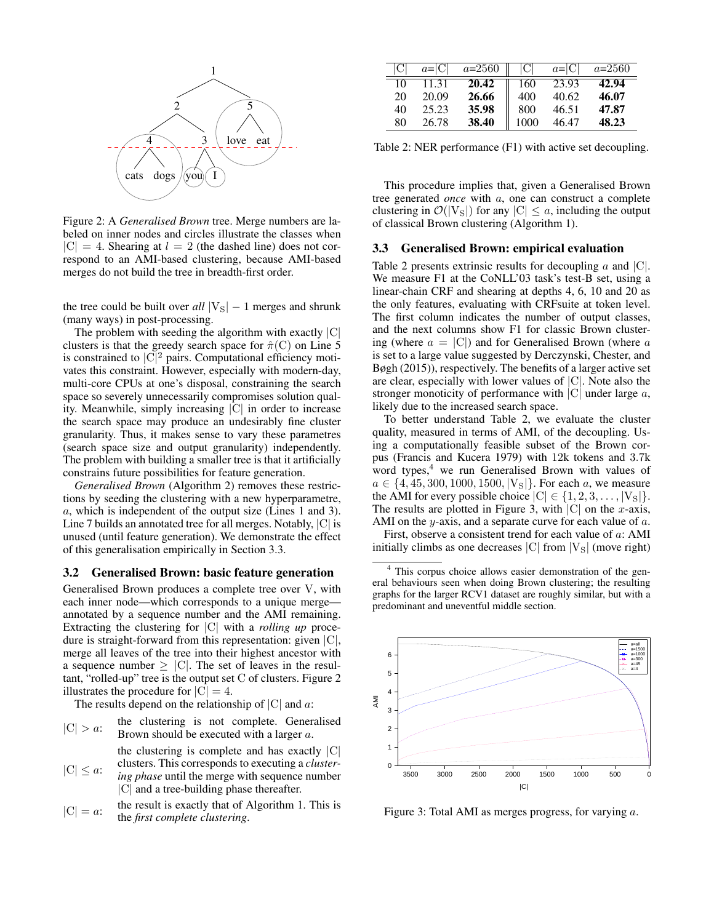

Figure 2: A *Generalised Brown* tree. Merge numbers are labeled on inner nodes and circles illustrate the classes when  $|C| = 4$ . Shearing at  $l = 2$  (the dashed line) does not correspond to an AMI-based clustering, because AMI-based merges do not build the tree in breadth-first order.

the tree could be built over  $all |V_S| - 1$  merges and shrunk (many ways) in post-processing.

The problem with seeding the algorithm with exactly |C| clusters is that the greedy search space for  $\hat{\pi}(C)$  on Line 5 is constrained to  $|\mathbf{C}|^2$  pairs. Computational efficiency motivates this constraint. However, especially with modern-day, multi-core CPUs at one's disposal, constraining the search space so severely unnecessarily compromises solution quality. Meanwhile, simply increasing |C| in order to increase the search space may produce an undesirably fine cluster granularity. Thus, it makes sense to vary these parametres (search space size and output granularity) independently. The problem with building a smaller tree is that it artificially constrains future possibilities for feature generation.

*Generalised Brown* (Algorithm 2) removes these restrictions by seeding the clustering with a new hyperparametre, a, which is independent of the output size (Lines 1 and 3). Line 7 builds an annotated tree for all merges. Notably, |C| is unused (until feature generation). We demonstrate the effect of this generalisation empirically in Section 3.3.

#### 3.2 Generalised Brown: basic feature generation

Generalised Brown produces a complete tree over V, with each inner node—which corresponds to a unique merge annotated by a sequence number and the AMI remaining. Extracting the clustering for |C| with a *rolling up* procedure is straight-forward from this representation: given |C|, merge all leaves of the tree into their highest ancestor with a sequence number  $\geq$  |C|. The set of leaves in the resultant, "rolled-up" tree is the output set C of clusters. Figure 2 illustrates the procedure for  $|C| = 4$ .

The results depend on the relationship of  $|C|$  and  $a$ :

- $|C| > a$ : the clustering is not complete. Generalised Brown should be executed with a larger a.  $|C| \leq a$ : the clustering is complete and has exactly  $|C|$ clusters. This corresponds to executing a *clustering phase* until the merge with sequence number
	- |C| and a tree-building phase thereafter.
- $|C| = a$ : the result is exactly that of Algorithm 1. This is the *first complete clustering*.

|    | $a= C $ | $a = 2560$ |      | $a= C $ | $a=2560$ |
|----|---------|------------|------|---------|----------|
| 10 | 11.31   | 20.42      | 160  | 23.93   | 42.94    |
| 20 | 20.09   | 26.66      | 400  | 40.62   | 46.07    |
| 40 | 25.23   | 35.98      | 800  | 46.51   | 47.87    |
| 80 | 26.78   | 38.40      | 1000 | 46.47   | 48.23    |

Table 2: NER performance (F1) with active set decoupling.

This procedure implies that, given a Generalised Brown tree generated *once* with a, one can construct a complete clustering in  $\mathcal{O}(|V_S|)$  for any  $|C| \leq a$ , including the output of classical Brown clustering (Algorithm 1).

# 3.3 Generalised Brown: empirical evaluation

Table 2 presents extrinsic results for decoupling  $\alpha$  and  $|C|$ . We measure F1 at the CoNLL'03 task's test-B set, using a linear-chain CRF and shearing at depths 4, 6, 10 and 20 as the only features, evaluating with CRFsuite at token level. The first column indicates the number of output classes, and the next columns show F1 for classic Brown clustering (where  $a = |C|$ ) and for Generalised Brown (where a is set to a large value suggested by Derczynski, Chester, and Bøgh (2015)), respectively. The benefits of a larger active set are clear, especially with lower values of |C|. Note also the stronger monoticity of performance with  $|C|$  under large a, likely due to the increased search space.

To better understand Table 2, we evaluate the cluster quality, measured in terms of AMI, of the decoupling. Using a computationally feasible subset of the Brown corpus (Francis and Kucera 1979) with 12k tokens and 3.7k word types, $4$  we run Generalised Brown with values of  $a \in \{4, 45, 300, 1000, 1500, |V_s|\}.$  For each a, we measure the AMI for every possible choice  $|C| \in \{1, 2, 3, \ldots, |V_S|\}.$ The results are plotted in Figure 3, with  $|C|$  on the *x*-axis, AMI on the y-axis, and a separate curve for each value of  $a$ .

First, observe a consistent trend for each value of a: AMI initially climbs as one decreases  $|C|$  from  $|V_S|$  (move right)

<sup>4</sup> This corpus choice allows easier demonstration of the general behaviours seen when doing Brown clustering; the resulting graphs for the larger RCV1 dataset are roughly similar, but with a predominant and uneventful middle section.



Figure 3: Total AMI as merges progress, for varying a.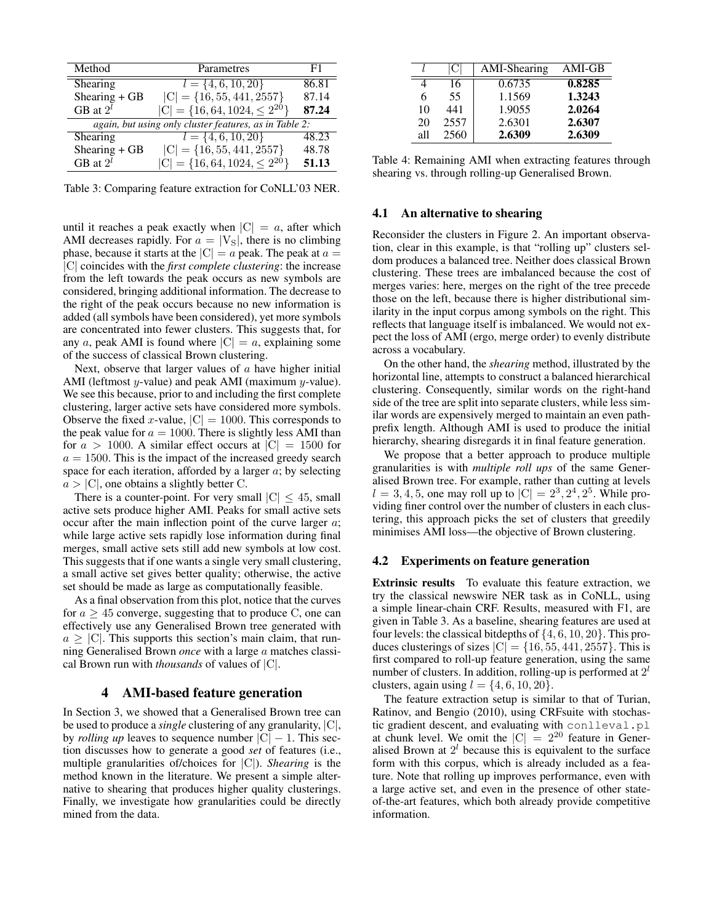| Method                                                 | Parametres                             | F1    |  |  |  |
|--------------------------------------------------------|----------------------------------------|-------|--|--|--|
| Shearing                                               | $l = \{4, 6, 10, 20\}$                 | 86.81 |  |  |  |
| Shearing $+$ GB                                        | $ C  = \{16, 55, 441, 2557\}$          | 87.14 |  |  |  |
| GB at $2^l$                                            | $ C  = \{16, 64, 1024, \leq 2^{20}\}\$ | 87.24 |  |  |  |
| again, but using only cluster features, as in Table 2: |                                        |       |  |  |  |
| Shearing                                               | $l = \{4, 6, 10, 20\}$                 | 48.23 |  |  |  |
| Shearing $+$ GB                                        | $ C  = \{16, 55, 441, 2557\}$          | 48.78 |  |  |  |
| GB at $2^l$                                            | $ C  = \{16, 64, 1024, \leq 2^{20}\}\$ | 51.13 |  |  |  |

Table 3: Comparing feature extraction for CoNLL'03 NER.

until it reaches a peak exactly when  $|C| = a$ , after which AMI decreases rapidly. For  $a = |V<sub>S</sub>|$ , there is no climbing phase, because it starts at the  $|C| = a$  peak. The peak at  $a =$ |C| coincides with the *first complete clustering*: the increase from the left towards the peak occurs as new symbols are considered, bringing additional information. The decrease to the right of the peak occurs because no new information is added (all symbols have been considered), yet more symbols are concentrated into fewer clusters. This suggests that, for any a, peak AMI is found where  $|C| = a$ , explaining some of the success of classical Brown clustering.

Next, observe that larger values of  $\alpha$  have higher initial AMI (leftmost  $y$ -value) and peak AMI (maximum  $y$ -value). We see this because, prior to and including the first complete clustering, larger active sets have considered more symbols. Observe the fixed x-value,  $|C| = 1000$ . This corresponds to the peak value for  $a = 1000$ . There is slightly less AMI than for  $a > 1000$ . A similar effect occurs at  $|C| = 1500$  for  $a = 1500$ . This is the impact of the increased greedy search space for each iteration, afforded by a larger  $a$ ; by selecting  $a > |C|$ , one obtains a slightly better C.

There is a counter-point. For very small  $|C| < 45$ , small active sets produce higher AMI. Peaks for small active sets occur after the main inflection point of the curve larger  $a$ ; while large active sets rapidly lose information during final merges, small active sets still add new symbols at low cost. This suggests that if one wants a single very small clustering, a small active set gives better quality; otherwise, the active set should be made as large as computationally feasible.

As a final observation from this plot, notice that the curves for  $a \geq 45$  converge, suggesting that to produce C, one can effectively use any Generalised Brown tree generated with  $a \geq |C|$ . This supports this section's main claim, that running Generalised Brown *once* with a large a matches classical Brown run with *thousands* of values of |C|.

### 4 AMI-based feature generation

In Section 3, we showed that a Generalised Brown tree can be used to produce a *single* clustering of any granularity, |C|, by *rolling up* leaves to sequence number  $|C| - 1$ . This section discusses how to generate a good *set* of features (i.e., multiple granularities of/choices for |C|). *Shearing* is the method known in the literature. We present a simple alternative to shearing that produces higher quality clusterings. Finally, we investigate how granularities could be directly mined from the data.

|     |      | AMI-Shearing | $AMI-GB$ |
|-----|------|--------------|----------|
|     | 16   | 0.6735       | 0.8285   |
| 6   | 55   | 1.1569       | 1.3243   |
| 10  | 441  | 1.9055       | 2.0264   |
| 20  | 2557 | 2.6301       | 2.6307   |
| all | 2560 | 2.6309       | 2.6309   |

Table 4: Remaining AMI when extracting features through shearing vs. through rolling-up Generalised Brown.

#### 4.1 An alternative to shearing

Reconsider the clusters in Figure 2. An important observation, clear in this example, is that "rolling up" clusters seldom produces a balanced tree. Neither does classical Brown clustering. These trees are imbalanced because the cost of merges varies: here, merges on the right of the tree precede those on the left, because there is higher distributional similarity in the input corpus among symbols on the right. This reflects that language itself is imbalanced. We would not expect the loss of AMI (ergo, merge order) to evenly distribute across a vocabulary.

On the other hand, the *shearing* method, illustrated by the horizontal line, attempts to construct a balanced hierarchical clustering. Consequently, similar words on the right-hand side of the tree are split into separate clusters, while less similar words are expensively merged to maintain an even pathprefix length. Although AMI is used to produce the initial hierarchy, shearing disregards it in final feature generation.

We propose that a better approach to produce multiple granularities is with *multiple roll ups* of the same Generalised Brown tree. For example, rather than cutting at levels  $l = 3, 4, 5$ , one may roll up to  $|C| = 2^3, 2^4, 2^5$ . While providing finer control over the number of clusters in each clustering, this approach picks the set of clusters that greedily minimises AMI loss—the objective of Brown clustering.

#### 4.2 Experiments on feature generation

Extrinsic results To evaluate this feature extraction, we try the classical newswire NER task as in CoNLL, using a simple linear-chain CRF. Results, measured with F1, are given in Table 3. As a baseline, shearing features are used at four levels: the classical bitdepths of  $\{4, 6, 10, 20\}$ . This produces clusterings of sizes  $|C| = \{16, 55, 441, 2557\}$ . This is first compared to roll-up feature generation, using the same number of clusters. In addition, rolling-up is performed at  $2^l$ clusters, again using  $l = \{4, 6, 10, 20\}.$ 

The feature extraction setup is similar to that of Turian, Ratinov, and Bengio (2010), using CRFsuite with stochastic gradient descent, and evaluating with conlleval.pl at chunk level. We omit the  $|C| = 2^{20}$  feature in Generalised Brown at  $2<sup>l</sup>$  because this is equivalent to the surface form with this corpus, which is already included as a feature. Note that rolling up improves performance, even with a large active set, and even in the presence of other stateof-the-art features, which both already provide competitive information.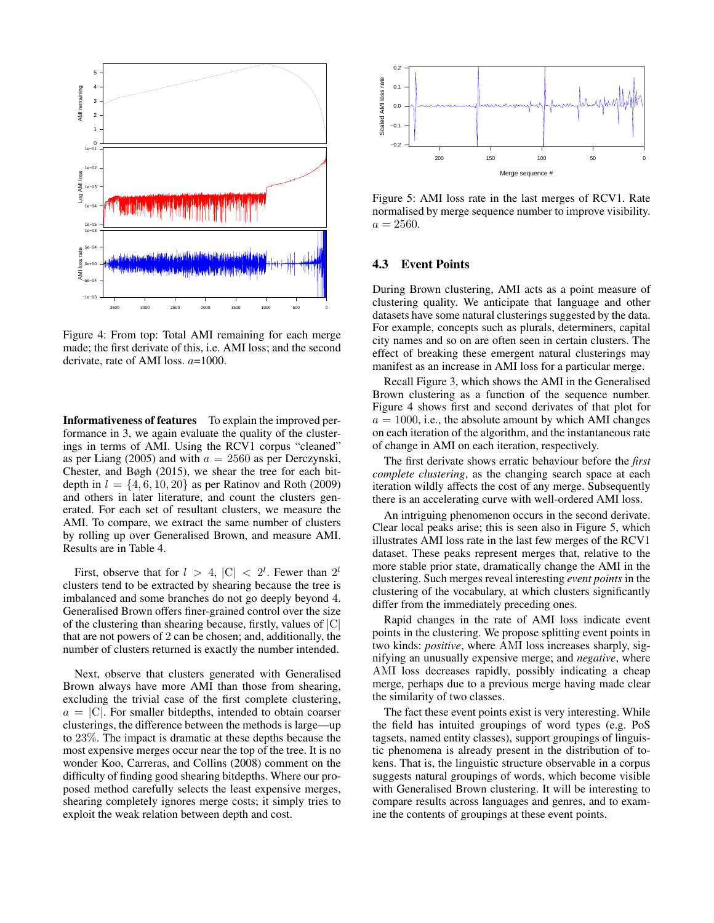

Figure 4: From top: Total AMI remaining for each merge made; the first derivate of this, i.e. AMI loss; and the second derivate, rate of AMI loss. a=1000.

Informativeness of features To explain the improved performance in 3, we again evaluate the quality of the clusterings in terms of AMI. Using the RCV1 corpus "cleaned" as per Liang (2005) and with  $a = 2560$  as per Derczynski, Chester, and Bøgh (2015), we shear the tree for each bitdepth in  $l = \{4, 6, 10, 20\}$  as per Ratinov and Roth (2009) and others in later literature, and count the clusters generated. For each set of resultant clusters, we measure the AMI. To compare, we extract the same number of clusters by rolling up over Generalised Brown, and measure AMI. Results are in Table 4.

First, observe that for  $l > 4$ ,  $|C| < 2^l$ . Fewer than  $2^l$ clusters tend to be extracted by shearing because the tree is imbalanced and some branches do not go deeply beyond 4. Generalised Brown offers finer-grained control over the size of the clustering than shearing because, firstly, values of  $|C|$ that are not powers of 2 can be chosen; and, additionally, the number of clusters returned is exactly the number intended.

Next, observe that clusters generated with Generalised Brown always have more AMI than those from shearing, excluding the trivial case of the first complete clustering,  $a = |C|$ . For smaller bitdepths, intended to obtain coarser clusterings, the difference between the methods is large—up to 23%. The impact is dramatic at these depths because the most expensive merges occur near the top of the tree. It is no wonder Koo, Carreras, and Collins (2008) comment on the difficulty of finding good shearing bitdepths. Where our proposed method carefully selects the least expensive merges, shearing completely ignores merge costs; it simply tries to exploit the weak relation between depth and cost.



Figure 5: AMI loss rate in the last merges of RCV1. Rate normalised by merge sequence number to improve visibility.  $a = 2560.$ 

### 4.3 Event Points

During Brown clustering, AMI acts as a point measure of clustering quality. We anticipate that language and other datasets have some natural clusterings suggested by the data. For example, concepts such as plurals, determiners, capital city names and so on are often seen in certain clusters. The effect of breaking these emergent natural clusterings may manifest as an increase in AMI loss for a particular merge.

Recall Figure 3, which shows the AMI in the Generalised Brown clustering as a function of the sequence number. Figure 4 shows first and second derivates of that plot for  $a = 1000$ , i.e., the absolute amount by which AMI changes on each iteration of the algorithm, and the instantaneous rate of change in AMI on each iteration, respectively.

The first derivate shows erratic behaviour before the *first complete clustering*, as the changing search space at each iteration wildly affects the cost of any merge. Subsequently there is an accelerating curve with well-ordered AMI loss.

An intriguing phenomenon occurs in the second derivate. Clear local peaks arise; this is seen also in Figure 5, which illustrates AMI loss rate in the last few merges of the RCV1 dataset. These peaks represent merges that, relative to the more stable prior state, dramatically change the AMI in the clustering. Such merges reveal interesting *event points* in the clustering of the vocabulary, at which clusters significantly differ from the immediately preceding ones.

Rapid changes in the rate of AMI loss indicate event points in the clustering. We propose splitting event points in two kinds: *positive*, where AMI loss increases sharply, signifying an unusually expensive merge; and *negative*, where AMI loss decreases rapidly, possibly indicating a cheap merge, perhaps due to a previous merge having made clear the similarity of two classes.

The fact these event points exist is very interesting. While the field has intuited groupings of word types (e.g. PoS tagsets, named entity classes), support groupings of linguistic phenomena is already present in the distribution of tokens. That is, the linguistic structure observable in a corpus suggests natural groupings of words, which become visible with Generalised Brown clustering. It will be interesting to compare results across languages and genres, and to examine the contents of groupings at these event points.